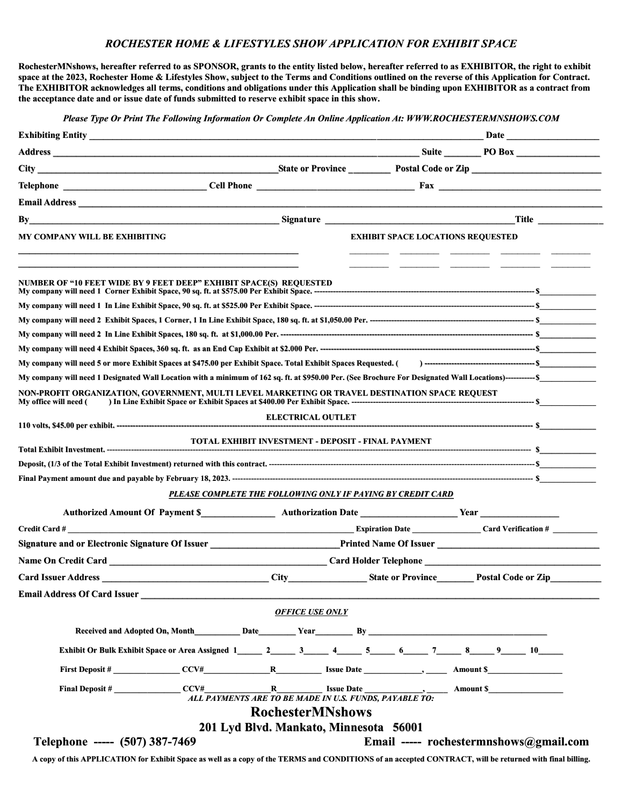## ROCHESTER HOME & LIFESTYLES SHOW APPLICATION FOR EXHIBIT SPACE

RochesterMNshows, hereafter referred to as SPONSOR, grants to the entity listed below, hereafter referred to as EXHIBITOR, the right to exhibit space at the 2023, Rochester Home & Lifestyles Show, subject to the Terms and Conditions outlined on the reverse of this Application for Contract. The EXHIBITOR acknowledges all terms, conditions and obligations under this Application shall be binding upon EXHIBITOR as a contract from the acceptance date and or issue date of funds submitted to reserve exhibit space in this show.

Please Type Or Print The Following Information Or Complete An Online Application At: WWW.ROCHESTERMNSHOWS.COM

| Exhibiting Entity <b>Exhibiting Entity</b>                                                                                                                                                                                |                                                                                                                                                                                                                                      |
|---------------------------------------------------------------------------------------------------------------------------------------------------------------------------------------------------------------------------|--------------------------------------------------------------------------------------------------------------------------------------------------------------------------------------------------------------------------------------|
|                                                                                                                                                                                                                           |                                                                                                                                                                                                                                      |
|                                                                                                                                                                                                                           |                                                                                                                                                                                                                                      |
|                                                                                                                                                                                                                           |                                                                                                                                                                                                                                      |
|                                                                                                                                                                                                                           |                                                                                                                                                                                                                                      |
| By                                                                                                                                                                                                                        | <u>Signature Signature and Signature Signature Signature Signature Signature Signature Signature Signature Signature Signature Signature Signature Signature Signature Signature Signature Signature Signature Signature Signatu</u> |
| MY COMPANY WILL BE EXHIBITING                                                                                                                                                                                             | <b>EXHIBIT SPACE LOCATIONS REQUESTED</b>                                                                                                                                                                                             |
| NUMBER OF "10 FEET WIDE BY 9 FEET DEEP" EXHIBIT SPACE(S) REQUESTED                                                                                                                                                        |                                                                                                                                                                                                                                      |
|                                                                                                                                                                                                                           |                                                                                                                                                                                                                                      |
|                                                                                                                                                                                                                           |                                                                                                                                                                                                                                      |
|                                                                                                                                                                                                                           |                                                                                                                                                                                                                                      |
|                                                                                                                                                                                                                           |                                                                                                                                                                                                                                      |
|                                                                                                                                                                                                                           |                                                                                                                                                                                                                                      |
|                                                                                                                                                                                                                           | My company will need 1 Designated Wall Location with a minimum of 162 sq. ft. at \$950.00 Per. (See Brochure For Designated Wall Locations)------------ \$                                                                           |
| My office will need (                                                                                                                                                                                                     | NON-PROFIT ORGANIZATION, GOVERNMENT, MULTI LEVEL MARKETING OR TRAVEL DESTINATION SPACE REQUEST                                                                                                                                       |
|                                                                                                                                                                                                                           | <b>ELECTRICAL OUTLET</b>                                                                                                                                                                                                             |
|                                                                                                                                                                                                                           | TOTAL EXHIBIT INVESTMENT - DEPOSIT - FINAL PAYMENT                                                                                                                                                                                   |
|                                                                                                                                                                                                                           |                                                                                                                                                                                                                                      |
|                                                                                                                                                                                                                           |                                                                                                                                                                                                                                      |
|                                                                                                                                                                                                                           | PLEASE COMPLETE THE FOLLOWING ONLY IF PAYING BY CREDIT CARD                                                                                                                                                                          |
|                                                                                                                                                                                                                           |                                                                                                                                                                                                                                      |
|                                                                                                                                                                                                                           | Expiration Date ________________Card Verification # _________                                                                                                                                                                        |
| Signature and or Electronic Signature Of Issuer<br><u>Letter</u> and Signature Of Issuer<br><u>Letter</u> and Signature Of Issuer<br>2014<br>2022<br>2023<br>2023<br>2023<br>2023<br>2023<br>2023<br>2023<br>2023<br>2023 | Printed Name Of Issuer                                                                                                                                                                                                               |
|                                                                                                                                                                                                                           |                                                                                                                                                                                                                                      |
|                                                                                                                                                                                                                           | City State or Province Postal Code or Zip State Code of Table 1 and State or Province Postal Code or Zip                                                                                                                             |
| <b>Email Address Of Card Issuer</b> No. 2016 19:30 AM                                                                                                                                                                     |                                                                                                                                                                                                                                      |
|                                                                                                                                                                                                                           | <b>OFFICE USE ONLY</b>                                                                                                                                                                                                               |
|                                                                                                                                                                                                                           | Received and Adopted On, Month <b>Date Date Year</b> By                                                                                                                                                                              |
|                                                                                                                                                                                                                           |                                                                                                                                                                                                                                      |
|                                                                                                                                                                                                                           | Exhibit Or Bulk Exhibit Space or Area Assigned 1 _______ 2 ______ 3 _____ 4 _____ 5 _____ 6 ______ 7 ______ 8 _____ 9 ______ 10 _____                                                                                                |
|                                                                                                                                                                                                                           |                                                                                                                                                                                                                                      |
|                                                                                                                                                                                                                           | <b>RochesterMNshows</b>                                                                                                                                                                                                              |
|                                                                                                                                                                                                                           | 201 Lyd Blvd. Mankato, Minnesota 56001                                                                                                                                                                                               |
| Telephone ----- (507) 387-7469                                                                                                                                                                                            | Email ----- rochestermnshows@gmail.com                                                                                                                                                                                               |

A copy of this APPLICATION for Exhibit Space as well as a copy of the TERMS and CONDITIONS of an accepted CONTRACT, will be returned with final billing.